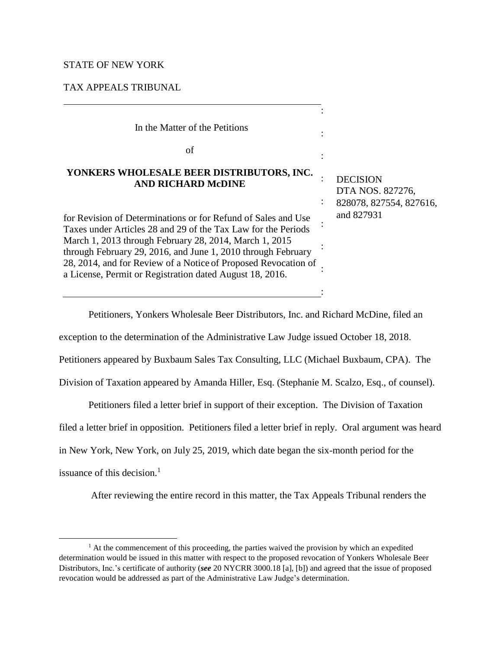## STATE OF NEW YORK

# TAX APPEALS TRIBUNAL

| In the Matter of the Petitions                                                                                                                                                                                                                                                                                                                                                         |                                                                |
|----------------------------------------------------------------------------------------------------------------------------------------------------------------------------------------------------------------------------------------------------------------------------------------------------------------------------------------------------------------------------------------|----------------------------------------------------------------|
| of                                                                                                                                                                                                                                                                                                                                                                                     |                                                                |
| YONKERS WHOLESALE BEER DISTRIBUTORS, INC.<br><b>AND RICHARD McDINE</b>                                                                                                                                                                                                                                                                                                                 | <b>DECISION</b><br>DTA NOS. 827276,<br>828078, 827554, 827616, |
| for Revision of Determinations or for Refund of Sales and Use<br>Taxes under Articles 28 and 29 of the Tax Law for the Periods<br>March 1, 2013 through February 28, 2014, March 1, 2015<br>through February 29, 2016, and June 1, 2010 through February<br>28, 2014, and for Review of a Notice of Proposed Revocation of<br>a License, Permit or Registration dated August 18, 2016. | and 827931                                                     |
|                                                                                                                                                                                                                                                                                                                                                                                        |                                                                |

Petitioners, Yonkers Wholesale Beer Distributors, Inc. and Richard McDine, filed an

exception to the determination of the Administrative Law Judge issued October 18, 2018.

Petitioners appeared by Buxbaum Sales Tax Consulting, LLC (Michael Buxbaum, CPA). The

Division of Taxation appeared by Amanda Hiller, Esq. (Stephanie M. Scalzo, Esq., of counsel).

Petitioners filed a letter brief in support of their exception. The Division of Taxation

filed a letter brief in opposition. Petitioners filed a letter brief in reply. Oral argument was heard

in New York, New York, on July 25, 2019, which date began the six-month period for the

issuance of this decision.<sup>1</sup>

 $\overline{a}$ 

After reviewing the entire record in this matter, the Tax Appeals Tribunal renders the

 $<sup>1</sup>$  At the commencement of this proceeding, the parties waived the provision by which an expedited</sup> determination would be issued in this matter with respect to the proposed revocation of Yonkers Wholesale Beer Distributors, Inc.'s certificate of authority (*see* 20 NYCRR 3000.18 [a], [b]) and agreed that the issue of proposed revocation would be addressed as part of the Administrative Law Judge's determination.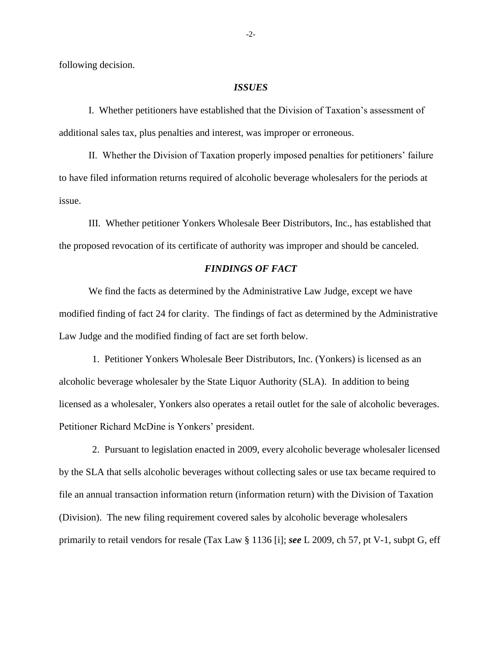following decision.

### *ISSUES*

I. Whether petitioners have established that the Division of Taxation's assessment of additional sales tax, plus penalties and interest, was improper or erroneous.

II. Whether the Division of Taxation properly imposed penalties for petitioners' failure to have filed information returns required of alcoholic beverage wholesalers for the periods at issue.

III. Whether petitioner Yonkers Wholesale Beer Distributors, Inc., has established that the proposed revocation of its certificate of authority was improper and should be canceled.

## *FINDINGS OF FACT*

We find the facts as determined by the Administrative Law Judge, except we have modified finding of fact 24 for clarity. The findings of fact as determined by the Administrative Law Judge and the modified finding of fact are set forth below.

1. Petitioner Yonkers Wholesale Beer Distributors, Inc. (Yonkers) is licensed as an alcoholic beverage wholesaler by the State Liquor Authority (SLA). In addition to being licensed as a wholesaler, Yonkers also operates a retail outlet for the sale of alcoholic beverages. Petitioner Richard McDine is Yonkers' president.

2. Pursuant to legislation enacted in 2009, every alcoholic beverage wholesaler licensed by the SLA that sells alcoholic beverages without collecting sales or use tax became required to file an annual transaction information return (information return) with the Division of Taxation (Division). The new filing requirement covered sales by alcoholic beverage wholesalers primarily to retail vendors for resale (Tax Law § 1136 [i]; *see* L 2009, ch 57, pt V-1, subpt G, eff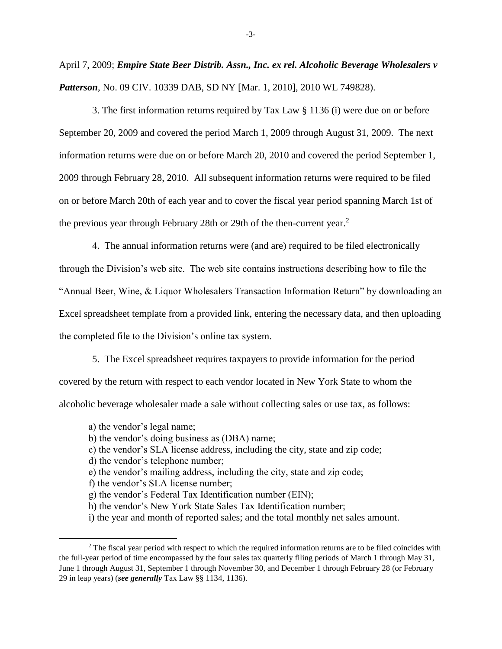April 7, 2009; *Empire State Beer Distrib. Assn., Inc. ex rel. Alcoholic Beverage Wholesalers v Patterson*, No. 09 CIV. 10339 DAB, SD NY [Mar. 1, 2010], 2010 WL 749828).

3. The first information returns required by Tax Law § 1136 (i) were due on or before September 20, 2009 and covered the period March 1, 2009 through August 31, 2009. The next information returns were due on or before March 20, 2010 and covered the period September 1, 2009 through February 28, 2010. All subsequent information returns were required to be filed on or before March 20th of each year and to cover the fiscal year period spanning March 1st of the previous year through February 28th or 29th of the then-current year.<sup>2</sup>

4. The annual information returns were (and are) required to be filed electronically through the Division's web site. The web site contains instructions describing how to file the "Annual Beer, Wine, & Liquor Wholesalers Transaction Information Return" by downloading an Excel spreadsheet template from a provided link, entering the necessary data, and then uploading the completed file to the Division's online tax system.

5. The Excel spreadsheet requires taxpayers to provide information for the period covered by the return with respect to each vendor located in New York State to whom the alcoholic beverage wholesaler made a sale without collecting sales or use tax, as follows:

a) the vendor's legal name;

 $\overline{a}$ 

- b) the vendor's doing business as (DBA) name;
- c) the vendor's SLA license address, including the city, state and zip code;
- d) the vendor's telephone number;
- e) the vendor's mailing address, including the city, state and zip code;
- f) the vendor's SLA license number;
- g) the vendor's Federal Tax Identification number (EIN);
- h) the vendor's New York State Sales Tax Identification number;
- i) the year and month of reported sales; and the total monthly net sales amount.

<sup>&</sup>lt;sup>2</sup> The fiscal year period with respect to which the required information returns are to be filed coincides with the full-year period of time encompassed by the four sales tax quarterly filing periods of March 1 through May 31, June 1 through August 31, September 1 through November 30, and December 1 through February 28 (or February 29 in leap years) (*see generally* Tax Law §§ 1134, 1136).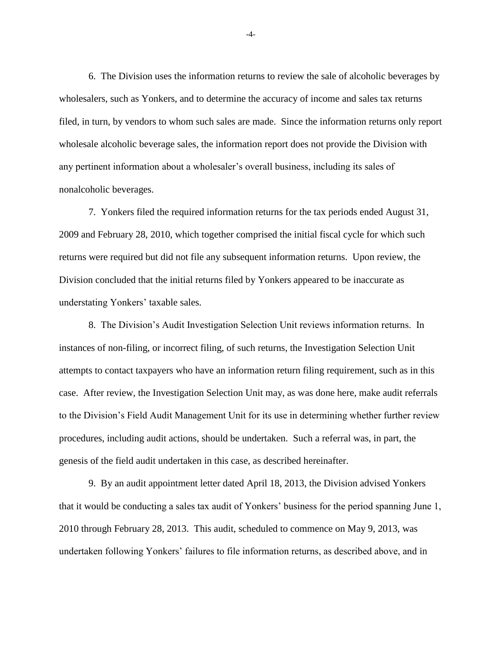6. The Division uses the information returns to review the sale of alcoholic beverages by wholesalers, such as Yonkers, and to determine the accuracy of income and sales tax returns filed, in turn, by vendors to whom such sales are made. Since the information returns only report wholesale alcoholic beverage sales, the information report does not provide the Division with any pertinent information about a wholesaler's overall business, including its sales of nonalcoholic beverages.

7. Yonkers filed the required information returns for the tax periods ended August 31, 2009 and February 28, 2010, which together comprised the initial fiscal cycle for which such returns were required but did not file any subsequent information returns. Upon review, the Division concluded that the initial returns filed by Yonkers appeared to be inaccurate as understating Yonkers' taxable sales.

8. The Division's Audit Investigation Selection Unit reviews information returns. In instances of non-filing, or incorrect filing, of such returns, the Investigation Selection Unit attempts to contact taxpayers who have an information return filing requirement, such as in this case. After review, the Investigation Selection Unit may, as was done here, make audit referrals to the Division's Field Audit Management Unit for its use in determining whether further review procedures, including audit actions, should be undertaken. Such a referral was, in part, the genesis of the field audit undertaken in this case, as described hereinafter.

9. By an audit appointment letter dated April 18, 2013, the Division advised Yonkers that it would be conducting a sales tax audit of Yonkers' business for the period spanning June 1, 2010 through February 28, 2013. This audit, scheduled to commence on May 9, 2013, was undertaken following Yonkers' failures to file information returns, as described above, and in

-4-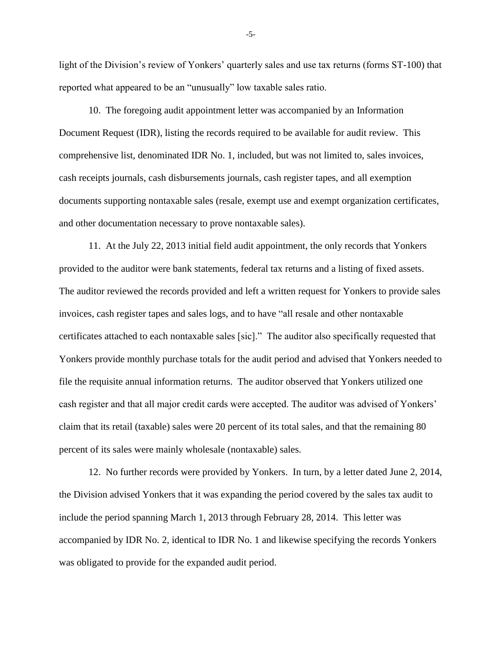light of the Division's review of Yonkers' quarterly sales and use tax returns (forms ST-100) that reported what appeared to be an "unusually" low taxable sales ratio.

10. The foregoing audit appointment letter was accompanied by an Information Document Request (IDR), listing the records required to be available for audit review. This comprehensive list, denominated IDR No. 1, included, but was not limited to, sales invoices, cash receipts journals, cash disbursements journals, cash register tapes, and all exemption documents supporting nontaxable sales (resale, exempt use and exempt organization certificates, and other documentation necessary to prove nontaxable sales).

11. At the July 22, 2013 initial field audit appointment, the only records that Yonkers provided to the auditor were bank statements, federal tax returns and a listing of fixed assets. The auditor reviewed the records provided and left a written request for Yonkers to provide sales invoices, cash register tapes and sales logs, and to have "all resale and other nontaxable certificates attached to each nontaxable sales [sic]." The auditor also specifically requested that Yonkers provide monthly purchase totals for the audit period and advised that Yonkers needed to file the requisite annual information returns. The auditor observed that Yonkers utilized one cash register and that all major credit cards were accepted. The auditor was advised of Yonkers' claim that its retail (taxable) sales were 20 percent of its total sales, and that the remaining 80 percent of its sales were mainly wholesale (nontaxable) sales.

12. No further records were provided by Yonkers. In turn, by a letter dated June 2, 2014, the Division advised Yonkers that it was expanding the period covered by the sales tax audit to include the period spanning March 1, 2013 through February 28, 2014. This letter was accompanied by IDR No. 2, identical to IDR No. 1 and likewise specifying the records Yonkers was obligated to provide for the expanded audit period.

-5-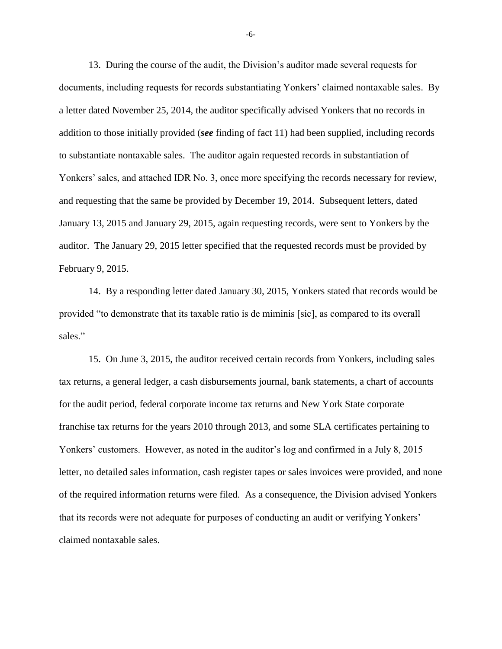13. During the course of the audit, the Division's auditor made several requests for documents, including requests for records substantiating Yonkers' claimed nontaxable sales. By a letter dated November 25, 2014, the auditor specifically advised Yonkers that no records in addition to those initially provided (*see* finding of fact 11) had been supplied, including records to substantiate nontaxable sales. The auditor again requested records in substantiation of Yonkers' sales, and attached IDR No. 3, once more specifying the records necessary for review, and requesting that the same be provided by December 19, 2014. Subsequent letters, dated January 13, 2015 and January 29, 2015, again requesting records, were sent to Yonkers by the auditor. The January 29, 2015 letter specified that the requested records must be provided by February 9, 2015.

14. By a responding letter dated January 30, 2015, Yonkers stated that records would be provided "to demonstrate that its taxable ratio is de miminis [sic], as compared to its overall sales."

15. On June 3, 2015, the auditor received certain records from Yonkers, including sales tax returns, a general ledger, a cash disbursements journal, bank statements, a chart of accounts for the audit period, federal corporate income tax returns and New York State corporate franchise tax returns for the years 2010 through 2013, and some SLA certificates pertaining to Yonkers' customers. However, as noted in the auditor's log and confirmed in a July 8, 2015 letter, no detailed sales information, cash register tapes or sales invoices were provided, and none of the required information returns were filed. As a consequence, the Division advised Yonkers that its records were not adequate for purposes of conducting an audit or verifying Yonkers' claimed nontaxable sales.

-6-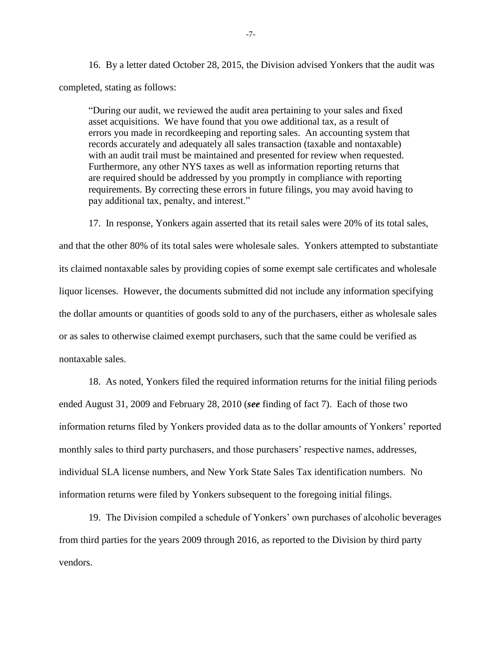16. By a letter dated October 28, 2015, the Division advised Yonkers that the audit was completed, stating as follows:

"During our audit, we reviewed the audit area pertaining to your sales and fixed asset acquisitions. We have found that you owe additional tax, as a result of errors you made in recordkeeping and reporting sales. An accounting system that records accurately and adequately all sales transaction (taxable and nontaxable) with an audit trail must be maintained and presented for review when requested. Furthermore, any other NYS taxes as well as information reporting returns that are required should be addressed by you promptly in compliance with reporting requirements. By correcting these errors in future filings, you may avoid having to pay additional tax, penalty, and interest."

17. In response, Yonkers again asserted that its retail sales were 20% of its total sales, and that the other 80% of its total sales were wholesale sales. Yonkers attempted to substantiate its claimed nontaxable sales by providing copies of some exempt sale certificates and wholesale liquor licenses. However, the documents submitted did not include any information specifying the dollar amounts or quantities of goods sold to any of the purchasers, either as wholesale sales or as sales to otherwise claimed exempt purchasers, such that the same could be verified as nontaxable sales.

18. As noted, Yonkers filed the required information returns for the initial filing periods ended August 31, 2009 and February 28, 2010 (*see* finding of fact 7). Each of those two information returns filed by Yonkers provided data as to the dollar amounts of Yonkers' reported monthly sales to third party purchasers, and those purchasers' respective names, addresses, individual SLA license numbers, and New York State Sales Tax identification numbers. No information returns were filed by Yonkers subsequent to the foregoing initial filings.

19. The Division compiled a schedule of Yonkers' own purchases of alcoholic beverages from third parties for the years 2009 through 2016, as reported to the Division by third party vendors.

-7-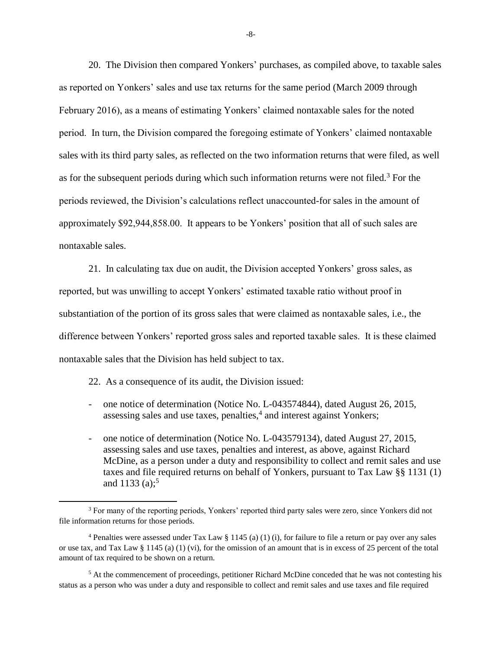20. The Division then compared Yonkers' purchases, as compiled above, to taxable sales as reported on Yonkers' sales and use tax returns for the same period (March 2009 through February 2016), as a means of estimating Yonkers' claimed nontaxable sales for the noted period. In turn, the Division compared the foregoing estimate of Yonkers' claimed nontaxable sales with its third party sales, as reflected on the two information returns that were filed, as well as for the subsequent periods during which such information returns were not filed.<sup>3</sup> For the periods reviewed, the Division's calculations reflect unaccounted-for sales in the amount of approximately \$92,944,858.00. It appears to be Yonkers' position that all of such sales are nontaxable sales.

21. In calculating tax due on audit, the Division accepted Yonkers' gross sales, as reported, but was unwilling to accept Yonkers' estimated taxable ratio without proof in substantiation of the portion of its gross sales that were claimed as nontaxable sales, i.e., the difference between Yonkers' reported gross sales and reported taxable sales. It is these claimed nontaxable sales that the Division has held subject to tax.

22. As a consequence of its audit, the Division issued:

l

- one notice of determination (Notice No. L-043574844), dated August 26, 2015, assessing sales and use taxes, penalties,<sup>4</sup> and interest against Yonkers;
- one notice of determination (Notice No. L-043579134), dated August 27, 2015, assessing sales and use taxes, penalties and interest, as above, against Richard McDine, as a person under a duty and responsibility to collect and remit sales and use taxes and file required returns on behalf of Yonkers, pursuant to Tax Law §§ 1131 (1) and 1133 (a);<sup>5</sup>

<sup>5</sup> At the commencement of proceedings, petitioner Richard McDine conceded that he was not contesting his status as a person who was under a duty and responsible to collect and remit sales and use taxes and file required

-8-

<sup>&</sup>lt;sup>3</sup> For many of the reporting periods, Yonkers' reported third party sales were zero, since Yonkers did not file information returns for those periods.

<sup>4</sup> Penalties were assessed under Tax Law § 1145 (a) (1) (i), for failure to file a return or pay over any sales or use tax, and Tax Law  $\S 1145$  (a) (1) (vi), for the omission of an amount that is in excess of 25 percent of the total amount of tax required to be shown on a return.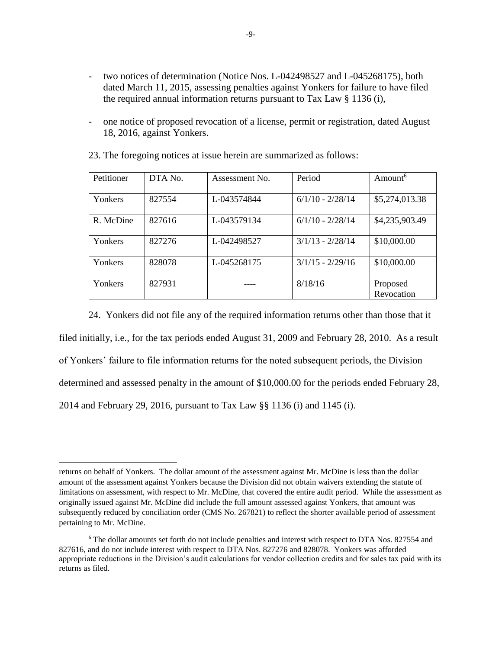- two notices of determination (Notice Nos. L-042498527 and L-045268175), both dated March 11, 2015, assessing penalties against Yonkers for failure to have filed the required annual information returns pursuant to Tax Law § 1136 (i),
- one notice of proposed revocation of a license, permit or registration, dated August 18, 2016, against Yonkers.

| Petitioner | DTA No. | Assessment No. | Period             | Amount <sup>6</sup>    |
|------------|---------|----------------|--------------------|------------------------|
| Yonkers    | 827554  | L-043574844    | $6/1/10 - 2/28/14$ | \$5,274,013.38         |
| R. McDine  | 827616  | L-043579134    | $6/1/10 - 2/28/14$ | \$4,235,903.49         |
| Yonkers    | 827276  | L-042498527    | $3/1/13 - 2/28/14$ | \$10,000.00            |
| Yonkers    | 828078  | L-045268175    | $3/1/15 - 2/29/16$ | \$10,000.00            |
| Yonkers    | 827931  |                | 8/18/16            | Proposed<br>Revocation |

23. The foregoing notices at issue herein are summarized as follows:

24. Yonkers did not file any of the required information returns other than those that it filed initially, i.e., for the tax periods ended August 31, 2009 and February 28, 2010. As a result of Yonkers' failure to file information returns for the noted subsequent periods, the Division determined and assessed penalty in the amount of \$10,000.00 for the periods ended February 28, 2014 and February 29, 2016, pursuant to Tax Law §§ 1136 (i) and 1145 (i).

 $\overline{\phantom{a}}$ 

returns on behalf of Yonkers. The dollar amount of the assessment against Mr. McDine is less than the dollar amount of the assessment against Yonkers because the Division did not obtain waivers extending the statute of limitations on assessment, with respect to Mr. McDine, that covered the entire audit period. While the assessment as originally issued against Mr. McDine did include the full amount assessed against Yonkers, that amount was subsequently reduced by conciliation order (CMS No. 267821) to reflect the shorter available period of assessment pertaining to Mr. McDine.

<sup>&</sup>lt;sup>6</sup> The dollar amounts set forth do not include penalties and interest with respect to DTA Nos. 827554 and 827616, and do not include interest with respect to DTA Nos. 827276 and 828078. Yonkers was afforded appropriate reductions in the Division's audit calculations for vendor collection credits and for sales tax paid with its returns as filed.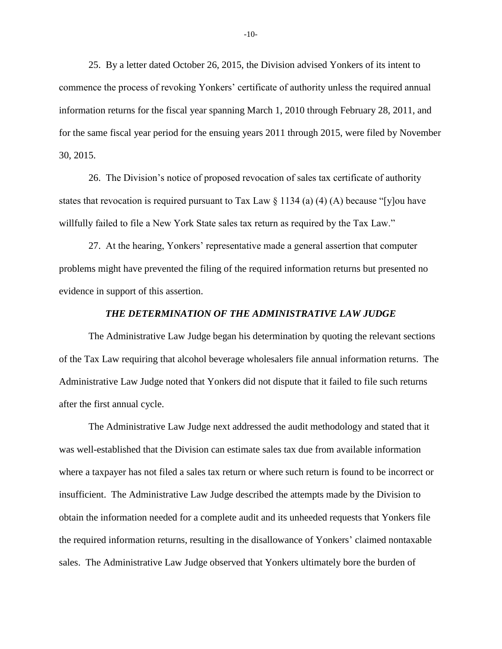25. By a letter dated October 26, 2015, the Division advised Yonkers of its intent to commence the process of revoking Yonkers' certificate of authority unless the required annual information returns for the fiscal year spanning March 1, 2010 through February 28, 2011, and for the same fiscal year period for the ensuing years 2011 through 2015, were filed by November 30, 2015.

26. The Division's notice of proposed revocation of sales tax certificate of authority states that revocation is required pursuant to Tax Law  $\S 1134$  (a) (4) (A) because "[y]ou have willfully failed to file a New York State sales tax return as required by the Tax Law."

27. At the hearing, Yonkers' representative made a general assertion that computer problems might have prevented the filing of the required information returns but presented no evidence in support of this assertion.

## *THE DETERMINATION OF THE ADMINISTRATIVE LAW JUDGE*

The Administrative Law Judge began his determination by quoting the relevant sections of the Tax Law requiring that alcohol beverage wholesalers file annual information returns. The Administrative Law Judge noted that Yonkers did not dispute that it failed to file such returns after the first annual cycle.

The Administrative Law Judge next addressed the audit methodology and stated that it was well-established that the Division can estimate sales tax due from available information where a taxpayer has not filed a sales tax return or where such return is found to be incorrect or insufficient. The Administrative Law Judge described the attempts made by the Division to obtain the information needed for a complete audit and its unheeded requests that Yonkers file the required information returns, resulting in the disallowance of Yonkers' claimed nontaxable sales. The Administrative Law Judge observed that Yonkers ultimately bore the burden of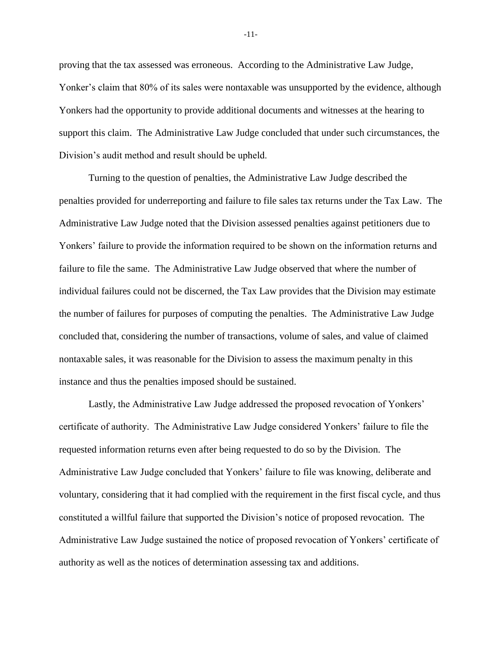proving that the tax assessed was erroneous. According to the Administrative Law Judge, Yonker's claim that 80% of its sales were nontaxable was unsupported by the evidence, although Yonkers had the opportunity to provide additional documents and witnesses at the hearing to support this claim. The Administrative Law Judge concluded that under such circumstances, the Division's audit method and result should be upheld.

Turning to the question of penalties, the Administrative Law Judge described the penalties provided for underreporting and failure to file sales tax returns under the Tax Law. The Administrative Law Judge noted that the Division assessed penalties against petitioners due to Yonkers' failure to provide the information required to be shown on the information returns and failure to file the same. The Administrative Law Judge observed that where the number of individual failures could not be discerned, the Tax Law provides that the Division may estimate the number of failures for purposes of computing the penalties. The Administrative Law Judge concluded that, considering the number of transactions, volume of sales, and value of claimed nontaxable sales, it was reasonable for the Division to assess the maximum penalty in this instance and thus the penalties imposed should be sustained.

Lastly, the Administrative Law Judge addressed the proposed revocation of Yonkers' certificate of authority. The Administrative Law Judge considered Yonkers' failure to file the requested information returns even after being requested to do so by the Division. The Administrative Law Judge concluded that Yonkers' failure to file was knowing, deliberate and voluntary, considering that it had complied with the requirement in the first fiscal cycle, and thus constituted a willful failure that supported the Division's notice of proposed revocation. The Administrative Law Judge sustained the notice of proposed revocation of Yonkers' certificate of authority as well as the notices of determination assessing tax and additions.

-11-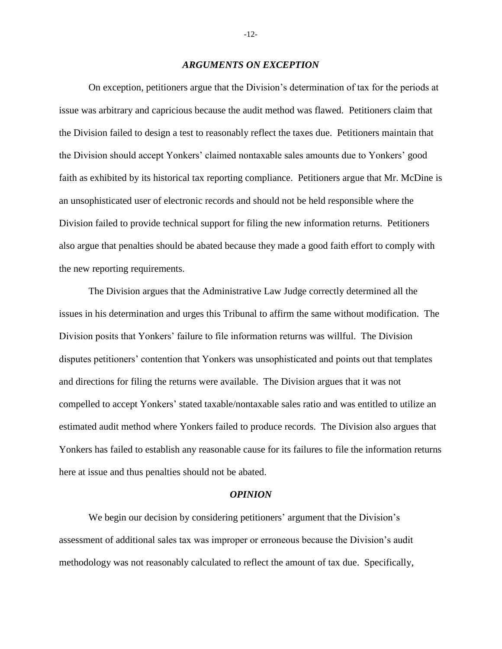#### *ARGUMENTS ON EXCEPTION*

On exception, petitioners argue that the Division's determination of tax for the periods at issue was arbitrary and capricious because the audit method was flawed. Petitioners claim that the Division failed to design a test to reasonably reflect the taxes due. Petitioners maintain that the Division should accept Yonkers' claimed nontaxable sales amounts due to Yonkers' good faith as exhibited by its historical tax reporting compliance. Petitioners argue that Mr. McDine is an unsophisticated user of electronic records and should not be held responsible where the Division failed to provide technical support for filing the new information returns. Petitioners also argue that penalties should be abated because they made a good faith effort to comply with the new reporting requirements.

The Division argues that the Administrative Law Judge correctly determined all the issues in his determination and urges this Tribunal to affirm the same without modification. The Division posits that Yonkers' failure to file information returns was willful. The Division disputes petitioners' contention that Yonkers was unsophisticated and points out that templates and directions for filing the returns were available. The Division argues that it was not compelled to accept Yonkers' stated taxable/nontaxable sales ratio and was entitled to utilize an estimated audit method where Yonkers failed to produce records. The Division also argues that Yonkers has failed to establish any reasonable cause for its failures to file the information returns here at issue and thus penalties should not be abated.

#### *OPINION*

We begin our decision by considering petitioners' argument that the Division's assessment of additional sales tax was improper or erroneous because the Division's audit methodology was not reasonably calculated to reflect the amount of tax due. Specifically,

-12-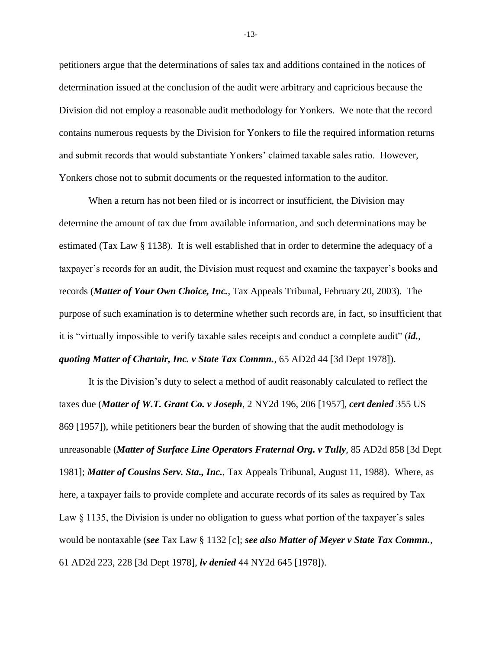petitioners argue that the determinations of sales tax and additions contained in the notices of determination issued at the conclusion of the audit were arbitrary and capricious because the Division did not employ a reasonable audit methodology for Yonkers. We note that the record contains numerous requests by the Division for Yonkers to file the required information returns and submit records that would substantiate Yonkers' claimed taxable sales ratio. However, Yonkers chose not to submit documents or the requested information to the auditor.

When a return has not been filed or is incorrect or insufficient, the Division may determine the amount of tax due from available information, and such determinations may be estimated (Tax Law § 1138). It is well established that in order to determine the adequacy of a taxpayer's records for an audit, the Division must request and examine the taxpayer's books and records (*Matter of Your Own Choice, Inc.*, Tax Appeals Tribunal, February 20, 2003). The purpose of such examination is to determine whether such records are, in fact, so insufficient that it is "virtually impossible to verify taxable sales receipts and conduct a complete audit" (*id.*, *quoting Matter of Chartair, Inc. v State Tax Commn.*, 65 AD2d 44 [3d Dept 1978]).

It is the Division's duty to select a method of audit reasonably calculated to reflect the taxes due (*Matter of W.T. Grant Co. v Joseph*, 2 NY2d 196, 206 [1957], *cert denied* 355 US 869 [1957]), while petitioners bear the burden of showing that the audit methodology is unreasonable (*Matter of Surface Line Operators Fraternal Org. v Tully*, 85 AD2d 858 [3d Dept 1981]; *Matter of Cousins Serv. Sta., Inc.*, Tax Appeals Tribunal, August 11, 1988). Where, as here, a taxpayer fails to provide complete and accurate records of its sales as required by Tax Law § 1135, the Division is under no obligation to guess what portion of the taxpayer's sales would be nontaxable (*see* Tax Law § 1132 [c]; *see also Matter of Meyer v State Tax Commn.*, 61 AD2d 223, 228 [3d Dept 1978], *lv denied* 44 NY2d 645 [1978]).

-13-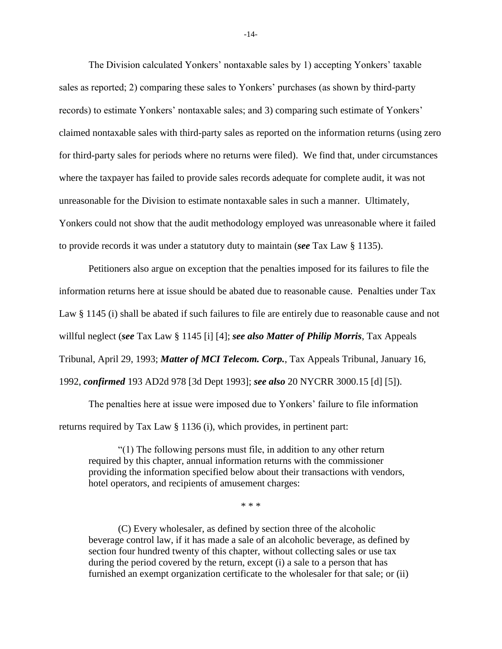The Division calculated Yonkers' nontaxable sales by 1) accepting Yonkers' taxable sales as reported; 2) comparing these sales to Yonkers' purchases (as shown by third-party records) to estimate Yonkers' nontaxable sales; and 3) comparing such estimate of Yonkers' claimed nontaxable sales with third-party sales as reported on the information returns (using zero for third-party sales for periods where no returns were filed). We find that, under circumstances where the taxpayer has failed to provide sales records adequate for complete audit, it was not unreasonable for the Division to estimate nontaxable sales in such a manner. Ultimately, Yonkers could not show that the audit methodology employed was unreasonable where it failed to provide records it was under a statutory duty to maintain (*see* Tax Law § 1135).

Petitioners also argue on exception that the penalties imposed for its failures to file the information returns here at issue should be abated due to reasonable cause. Penalties under Tax Law § 1145 (i) shall be abated if such failures to file are entirely due to reasonable cause and not willful neglect (*see* Tax Law § 1145 [i] [4]; *see also Matter of Philip Morris*, Tax Appeals Tribunal, April 29, 1993; *Matter of MCI Telecom. Corp.*, Tax Appeals Tribunal, January 16, 1992, *confirmed* 193 AD2d 978 [3d Dept 1993]; *see also* 20 NYCRR 3000.15 [d] [5]).

The penalties here at issue were imposed due to Yonkers' failure to file information returns required by Tax Law § 1136 (i), which provides, in pertinent part:

"(1) The following persons must file, in addition to any other return required by this chapter, annual information returns with the commissioner providing the information specified below about their transactions with vendors, hotel operators, and recipients of amusement charges:

\* \* \*

(C) Every wholesaler, as defined by section three of the alcoholic beverage control law, if it has made a sale of an alcoholic beverage, as defined by section four hundred twenty of this chapter, without collecting sales or use tax during the period covered by the return, except (i) a sale to a person that has furnished an exempt organization certificate to the wholesaler for that sale; or (ii)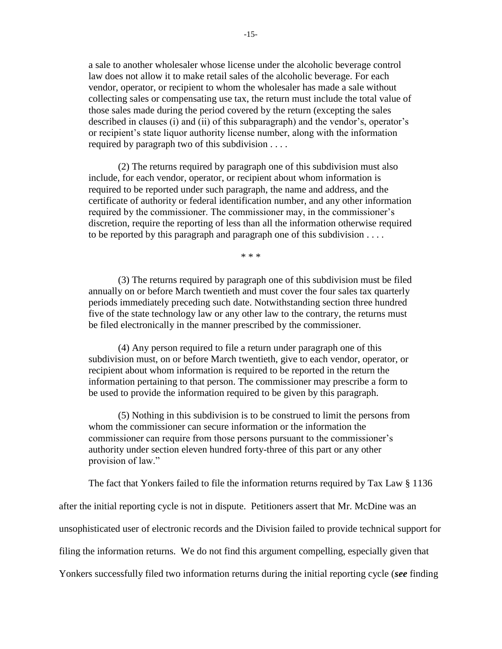a sale to another wholesaler whose license under the alcoholic beverage control law does not allow it to make retail sales of the alcoholic beverage. For each vendor, operator, or recipient to whom the wholesaler has made a sale without collecting sales or compensating use tax, the return must include the total value of those sales made during the period covered by the return (excepting the sales described in clauses (i) and (ii) of this subparagraph) and the vendor's, operator's or recipient's state liquor authority license number, along with the information required by paragraph two of this subdivision . . . .

(2) The returns required by paragraph one of this subdivision must also include, for each vendor, operator, or recipient about whom information is required to be reported under such paragraph, the name and address, and the certificate of authority or federal identification number, and any other information required by the commissioner. The commissioner may, in the commissioner's discretion, require the reporting of less than all the information otherwise required to be reported by this paragraph and paragraph one of this subdivision . . . .

\* \* \*

(3) The returns required by paragraph one of this subdivision must be filed annually on or before March twentieth and must cover the four sales tax quarterly periods immediately preceding such date. Notwithstanding section three hundred five of the state technology law or any other law to the contrary, the returns must be filed electronically in the manner prescribed by the commissioner.

(4) Any person required to file a return under paragraph one of this subdivision must, on or before March twentieth, give to each vendor, operator, or recipient about whom information is required to be reported in the return the information pertaining to that person. The commissioner may prescribe a form to be used to provide the information required to be given by this paragraph.

(5) Nothing in this subdivision is to be construed to limit the persons from whom the commissioner can secure information or the information the commissioner can require from those persons pursuant to the commissioner's authority under section eleven hundred forty-three of this part or any other provision of law."

The fact that Yonkers failed to file the information returns required by Tax Law § 1136

after the initial reporting cycle is not in dispute. Petitioners assert that Mr. McDine was an

unsophisticated user of electronic records and the Division failed to provide technical support for

filing the information returns. We do not find this argument compelling, especially given that

Yonkers successfully filed two information returns during the initial reporting cycle (*see* finding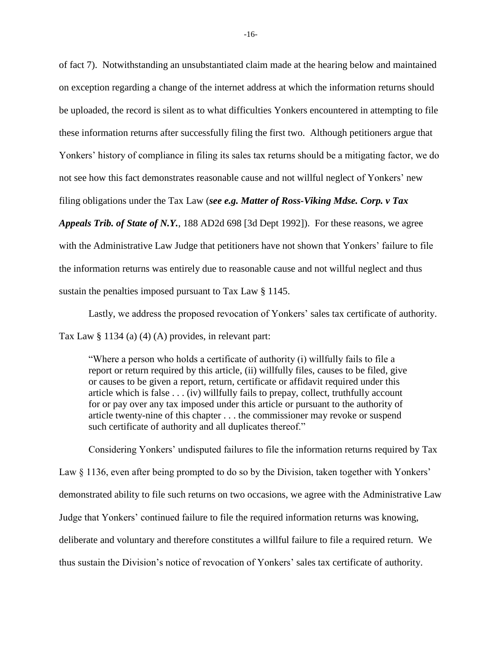of fact 7). Notwithstanding an unsubstantiated claim made at the hearing below and maintained on exception regarding a change of the internet address at which the information returns should be uploaded, the record is silent as to what difficulties Yonkers encountered in attempting to file these information returns after successfully filing the first two. Although petitioners argue that Yonkers' history of compliance in filing its sales tax returns should be a mitigating factor, we do not see how this fact demonstrates reasonable cause and not willful neglect of Yonkers' new filing obligations under the Tax Law (*see e.g. Matter of Ross-Viking Mdse. Corp. v Tax Appeals Trib. of State of N.Y.*, 188 AD2d 698 [3d Dept 1992]). For these reasons, we agree with the Administrative Law Judge that petitioners have not shown that Yonkers' failure to file the information returns was entirely due to reasonable cause and not willful neglect and thus

sustain the penalties imposed pursuant to Tax Law § 1145.

Lastly, we address the proposed revocation of Yonkers' sales tax certificate of authority.

Tax Law § 1134 (a) (4) (A) provides, in relevant part:

"Where a person who holds a certificate of authority (i) willfully fails to file a report or return required by this article, (ii) willfully files, causes to be filed, give or causes to be given a report, return, certificate or affidavit required under this article which is false . . . (iv) willfully fails to prepay, collect, truthfully account for or pay over any tax imposed under this article or pursuant to the authority of article twenty-nine of this chapter . . . the commissioner may revoke or suspend such certificate of authority and all duplicates thereof."

Considering Yonkers' undisputed failures to file the information returns required by Tax Law § 1136, even after being prompted to do so by the Division, taken together with Yonkers' demonstrated ability to file such returns on two occasions, we agree with the Administrative Law Judge that Yonkers' continued failure to file the required information returns was knowing, deliberate and voluntary and therefore constitutes a willful failure to file a required return. We thus sustain the Division's notice of revocation of Yonkers' sales tax certificate of authority.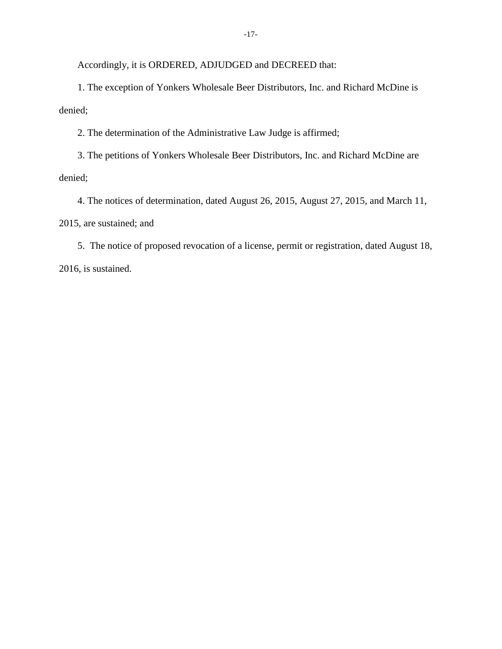Accordingly, it is ORDERED, ADJUDGED and DECREED that:

1. The exception of Yonkers Wholesale Beer Distributors, Inc. and Richard McDine is denied;

2. The determination of the Administrative Law Judge is affirmed;

3. The petitions of Yonkers Wholesale Beer Distributors, Inc. and Richard McDine are denied;

4. The notices of determination, dated August 26, 2015, August 27, 2015, and March 11, 2015, are sustained; and

5. The notice of proposed revocation of a license, permit or registration, dated August 18, 2016, is sustained.